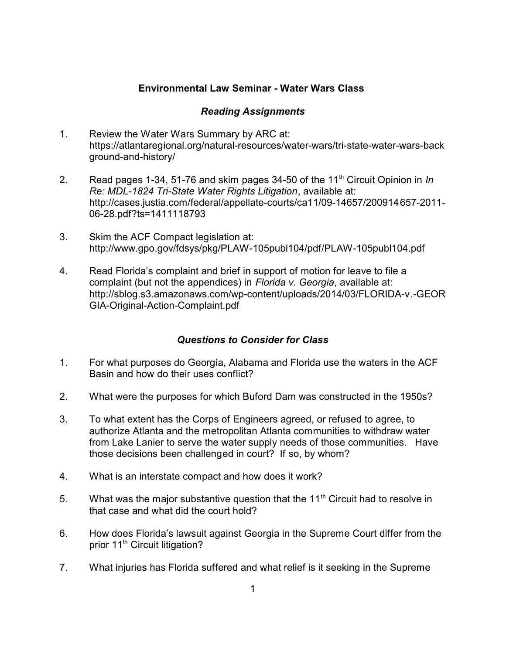## **Environmental Law Seminar - Water Wars Class**

## *Reading Assignments*

- 1. Review the Water Wars Summary by ARC at: https://atlantaregional.org/natural-resources/water-wars/tri-state-water-wars-back ground-and-history/
- 2. Read pages 1-34, 51-76 and skim pages 34-50 of the 11<sup>th</sup> Circuit Opinion in In *Re: MDL-1824 Tri-State Water Rights Litigation*, available at: http://cases.justia.com/federal/appellate-courts/ca11/09-14657/200914657-2011- 06-28.pdf?ts=1411118793
- 3. Skim the ACF Compact legislation at: http://www.gpo.gov/fdsys/pkg/PLAW-105publ104/pdf/PLAW-105publ104.pdf
- 4. Read Florida's complaint and brief in support of motion for leave to file a complaint (but not the appendices) in *Florida v. Georgia*, available at: http://sblog.s3.amazonaws.com/wp-content/uploads/2014/03/FLORIDA-v.-GEOR GIA-Original-Action-Complaint.pdf

## *Questions to Consider for Class*

- 1. For what purposes do Georgia, Alabama and Florida use the waters in the ACF Basin and how do their uses conflict?
- 2. What were the purposes for which Buford Dam was constructed in the 1950s?
- 3. To what extent has the Corps of Engineers agreed, or refused to agree, to authorize Atlanta and the metropolitan Atlanta communities to withdraw water from Lake Lanier to serve the water supply needs of those communities. Have those decisions been challenged in court? If so, by whom?
- 4. What is an interstate compact and how does it work?
- 5. What was the major substantive question that the  $11<sup>th</sup>$  Circuit had to resolve in that case and what did the court hold?
- 6. How does Florida's lawsuit against Georgia in the Supreme Court differ from the prior 11<sup>th</sup> Circuit litigation?
- 7. What injuries has Florida suffered and what relief is it seeking in the Supreme